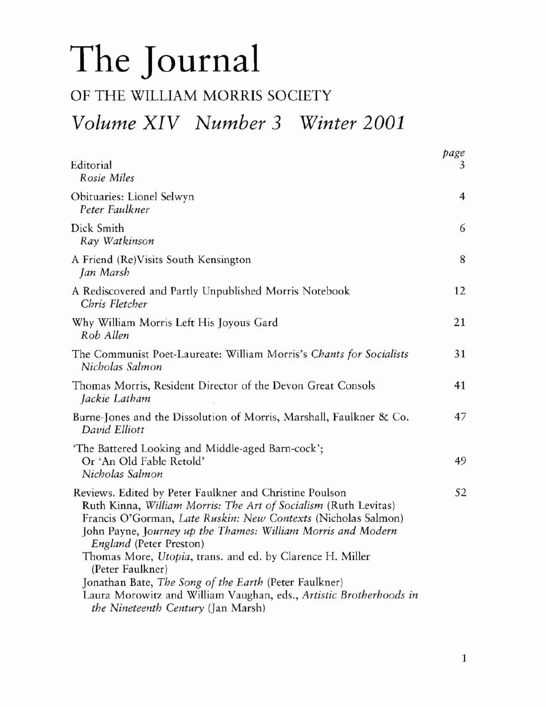## **The Journal**

## OF THE WILLIAM MORRIS SOCIETY *Volume XIV Number* 3 *Winter 2001*

|                                                                                                                                                                                                                                                                                                                                                                                                                                                                                                                                              | page |
|----------------------------------------------------------------------------------------------------------------------------------------------------------------------------------------------------------------------------------------------------------------------------------------------------------------------------------------------------------------------------------------------------------------------------------------------------------------------------------------------------------------------------------------------|------|
| Editorial<br>Rosie Miles                                                                                                                                                                                                                                                                                                                                                                                                                                                                                                                     | 3    |
| Obituaries: Lionel Selwyn<br>Peter Faulkner                                                                                                                                                                                                                                                                                                                                                                                                                                                                                                  | 4    |
| Dick Smith<br>Ray Watkinson                                                                                                                                                                                                                                                                                                                                                                                                                                                                                                                  | 6    |
| A Friend (Re)Visits South Kensington<br>Jan Marsh                                                                                                                                                                                                                                                                                                                                                                                                                                                                                            | 8    |
| A Rediscovered and Partly Unpublished Morris Notebook<br>Chris Fletcher                                                                                                                                                                                                                                                                                                                                                                                                                                                                      | 12   |
| Why William Morris Left His Joyous Gard<br>Rob Allen                                                                                                                                                                                                                                                                                                                                                                                                                                                                                         | 21   |
| The Communist Poet-Laureate: William Morris's Chants for Socialists<br>Nicholas Salmon                                                                                                                                                                                                                                                                                                                                                                                                                                                       | 31   |
| Thomas Morris, Resident Director of the Devon Great Consols<br>Jackie Latham                                                                                                                                                                                                                                                                                                                                                                                                                                                                 | 41   |
| Burne-Jones and the Dissolution of Morris, Marshall, Faulkner & Co.<br>David Elliott                                                                                                                                                                                                                                                                                                                                                                                                                                                         | 47   |
| 'The Battered Looking and Middle-aged Barn-cock';<br>Or 'An Old Fable Retold'<br>Nicholas Salmon                                                                                                                                                                                                                                                                                                                                                                                                                                             | 49   |
| Reviews. Edited by Peter Faulkner and Christine Poulson<br>Ruth Kinna, William Morris: The Art of Socialism (Ruth Levitas)<br>Francis O'Gorman, Late Ruskin: New Contexts (Nicholas Salmon)<br>John Payne, Journey up the Thames: William Morris and Modern<br>England (Peter Preston)<br>Thomas More, Utopia, trans. and ed. by Clarence H. Miller<br>(Peter Faulkner)<br>Jonathan Bate, The Song of the Earth (Peter Faulkner)<br>Laura Morowitz and William Vaughan, eds., Artistic Brotherhoods in<br>the Nineteenth Century (Jan Marsh) | 52   |